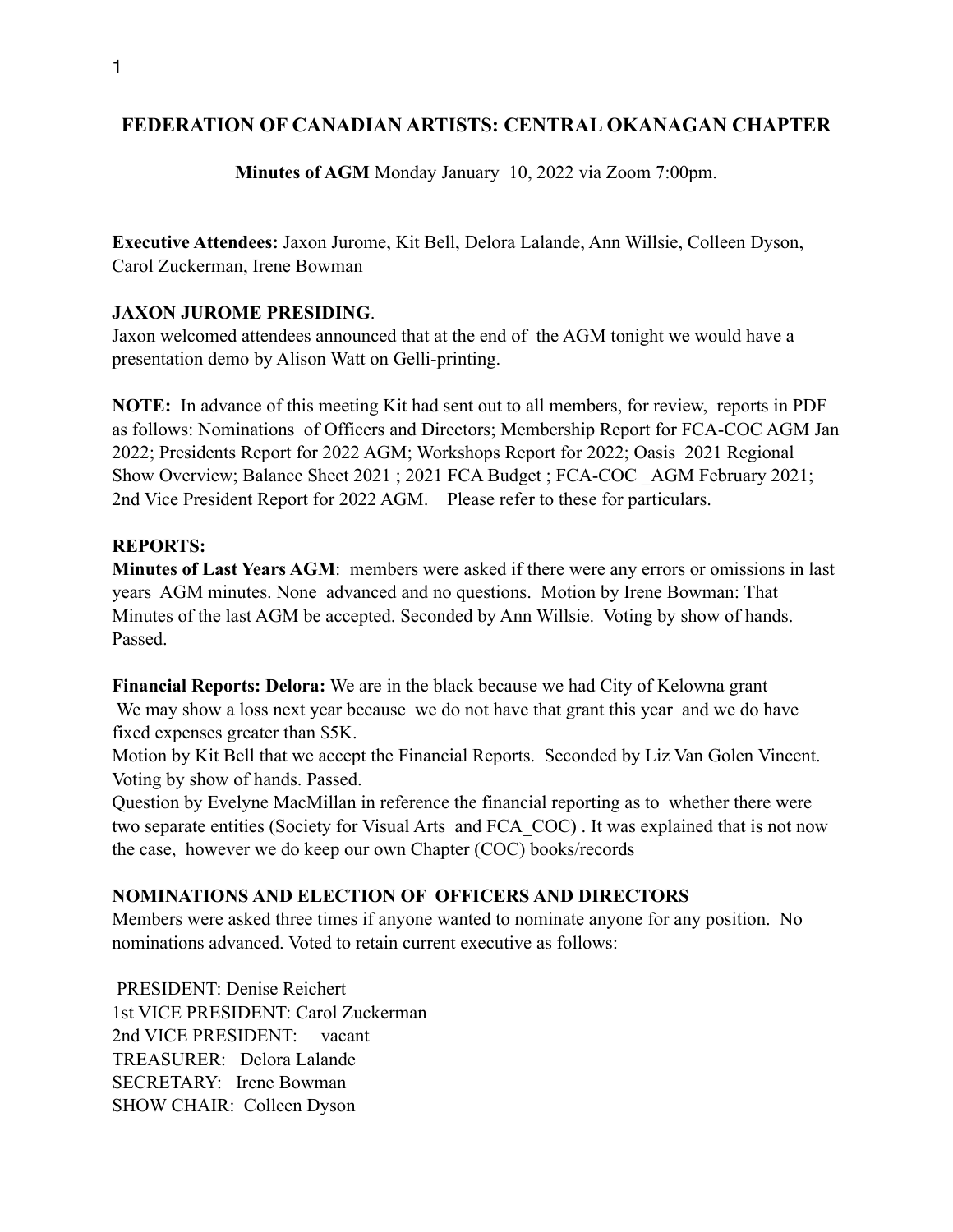## **FEDERATION OF CANADIAN ARTISTS: CENTRAL OKANAGAN CHAPTER**

**Minutes of AGM** Monday January 10, 2022 via Zoom 7:00pm.

**Executive Attendees:** Jaxon Jurome, Kit Bell, Delora Lalande, Ann Willsie, Colleen Dyson, Carol Zuckerman, Irene Bowman

#### **JAXON JUROME PRESIDING**.

Jaxon welcomed attendees announced that at the end of the AGM tonight we would have a presentation demo by Alison Watt on Gelli-printing.

**NOTE:** In advance of this meeting Kit had sent out to all members, for review, reports in PDF as follows: Nominations of Officers and Directors; Membership Report for FCA-COC AGM Jan 2022; Presidents Report for 2022 AGM; Workshops Report for 2022; Oasis 2021 Regional Show Overview; Balance Sheet 2021 ; 2021 FCA Budget ; FCA-COC \_AGM February 2021; 2nd Vice President Report for 2022 AGM. Please refer to these for particulars.

#### **REPORTS:**

**Minutes of Last Years AGM**: members were asked if there were any errors or omissions in last years AGM minutes. None advanced and no questions. Motion by Irene Bowman: That Minutes of the last AGM be accepted. Seconded by Ann Willsie. Voting by show of hands. Passed.

**Financial Reports: Delora:** We are in the black because we had City of Kelowna grant We may show a loss next year because we do not have that grant this year and we do have fixed expenses greater than \$5K.

Motion by Kit Bell that we accept the Financial Reports. Seconded by Liz Van Golen Vincent. Voting by show of hands. Passed.

Question by Evelyne MacMillan in reference the financial reporting as to whether there were two separate entities (Society for Visual Arts and FCA\_COC). It was explained that is not now the case, however we do keep our own Chapter (COC) books/records

### **NOMINATIONS AND ELECTION OF OFFICERS AND DIRECTORS**

Members were asked three times if anyone wanted to nominate anyone for any position. No nominations advanced. Voted to retain current executive as follows:

 PRESIDENT: Denise Reichert 1st VICE PRESIDENT: Carol Zuckerman 2nd VICE PRESIDENT: vacant TREASURER: Delora Lalande SECRETARY: Irene Bowman SHOW CHAIR: Colleen Dyson